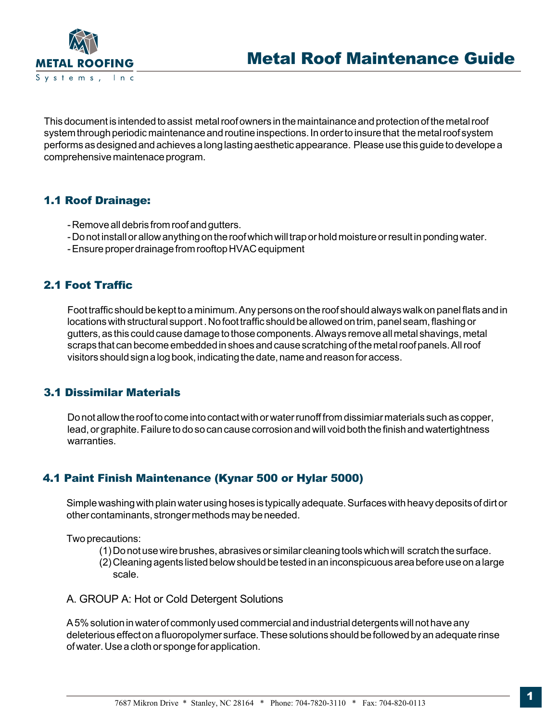

This document is intended to assist metal roof owners in the maintainance and protection of the metal roof system through periodic maintenance and routine inspections. In order to insure that the metal roof system performs as designed and achieves a long lasting aesthetic appearance. Please use this guide to develope a comprehensive maintenace program.

### 1.1 Roof Drainage:

- Remove all debris from roof and gutters.
- Do not install or allow anything on the roof which will trap or hold moisture or result in ponding water.
- Ensure proper drainage from rooftop HVAC equipment

# 2.1 Foot Traffic

Foot traffic should be kept to a minimum. Any persons on the roof should always walk on panel flats and in locations with structural support . No foot traffic should be allowed on trim, panel seam, flashing or gutters, as this could cause damage to those components. Always remove all metal shavings, metal scraps that can become embedded in shoes and cause scratching of the metal roof panels. All roof visitors should sign a log book, indicating the date, name and reason for access.

# 3.1 Dissimilar Materials

Do not allow the roof to come into contact with or water runoff from dissimiar materials such as copper, lead, or graphite. Failure to do so can cause corrosion and will void both the finish and watertightness warranties.

# 4.1 Paint Finish Maintenance (Kynar 500 or Hylar 5000)

Simple washing with plain water using hoses is typically adequate. Surfaces with heavy deposits of dirt or other contaminants, stronger methods may be needed.

Two precautions:

- (1) Do not use wire brushes, abrasives or similar cleaning tools which will scratch the surface.
- (2) Cleaning agents listed below should be tested in an inconspicuous area before use on a large scale.
- A. GROUP A: Hot or Cold Detergent Solutions

A 5% solution in water of commonly used commercial and industrial detergents will not have any deleterious effect on a fluoropolymer surface. These solutions should be followed by an adequate rinse of water. Use a cloth or sponge for application.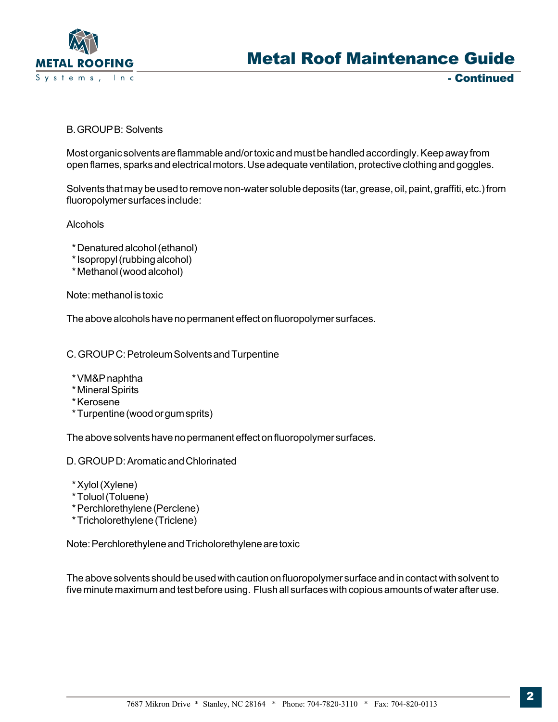

- Continued

B. GROUP B: Solvents

Most organic solvents are flammable and/or toxic and must be handled accordingly. Keep away from open flames, sparks and electrical motors. Use adequate ventilation, protective clothing and goggles.

Solvents that may be used to remove non-water soluble deposits (tar, grease, oil, paint, graffiti, etc.) from fluoropolymer surfaces include:

Alcohols

- \* Denatured alcohol (ethanol)
- \* Isopropyl (rubbing alcohol)
- \* Methanol (wood alcohol)

Note: methanol is toxic

The above alcohols have no permanent effect on fluoropolymer surfaces.

C. GROUP C: Petroleum Solvents and Turpentine

- \* VM&P naphtha
- \* Mineral Spirits
- \* Kerosene
- \* Turpentine (wood or gum sprits)

The above solvents have no permanent effect on fluoropolymer surfaces.

- D. GROUP D: Aromatic and Chlorinated
- \* Xylol (Xylene)
- \* Toluol (Toluene)
- \* Perchlorethylene (Perclene)
- \* Tricholorethylene (Triclene)

Note: Perchlorethylene and Tricholorethylene are toxic

The above solvents should be used with caution on fluoropolymer surface and in contact with solvent to five minute maximum and test before using. Flush all surfaces with copious amounts of water after use.